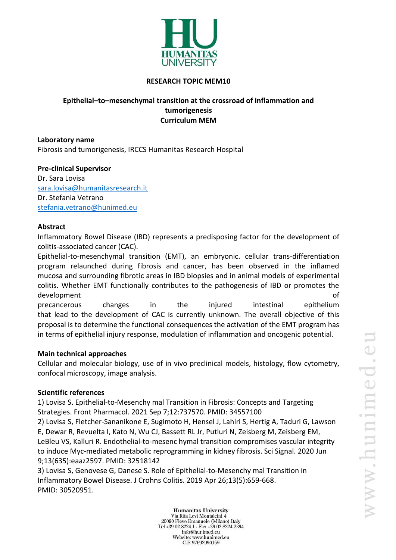

### **RESEARCH TOPIC MEM10**

# **Epithelial–to–mesenchymal transition at the crossroad of inflammation and tumorigenesis Curriculum MEM**

**Laboratory name** Fibrosis and tumorigenesis, IRCCS Humanitas Research Hospital

# **Pre-clinical Supervisor**

Dr. Sara Lovisa [sara.lovisa@humanitasresearch.it](mailto:sara.lovisa@humanitasresearch.it) Dr. Stefania Vetrano [stefania.vetrano@hunimed.eu](mailto:stefania.vetrano@hunimed.eu)

## **Abstract**

Inflammatory Bowel Disease (IBD) represents a predisposing factor for the development of colitis-associated cancer (CAC).

Epithelial-to-mesenchymal transition (EMT), an embryonic. cellular trans-differentiation program relaunched during fibrosis and cancer, has been observed in the inflamed mucosa and surrounding fibrotic areas in IBD biopsies and in animal models of experimental colitis. Whether EMT functionally contributes to the pathogenesis of IBD or promotes the development of the control of the control of the control of the control of the control of the control of the control of the control of the control of the control of the control of the control of the control of the control precancerous changes in the injured intestinal epithelium that lead to the development of CAC is currently unknown. The overall objective of this proposal is to determine the functional consequences the activation of the EMT program has

in terms of epithelial injury response, modulation of inflammation and oncogenic potential.

### **Main technical approaches**

Cellular and molecular biology, use of in vivo preclinical models, histology, flow cytometry, confocal microscopy, image analysis.

### **Scientific references**

1) Lovisa S. Epithelial-to-Mesenchy mal Transition in Fibrosis: Concepts and Targeting Strategies. Front Pharmacol. 2021 Sep 7;12:737570. PMID: 34557100

2) Lovisa S, Fletcher-Sananikone E, Sugimoto H, Hensel J, Lahiri S, Hertig A, Taduri G, Lawson E, Dewar R, Revuelta I, Kato N, Wu CJ, Bassett RL Jr, Putluri N, Zeisberg M, Zeisberg EM, LeBleu VS, Kalluri R. Endothelial-to-mesenc hymal transition compromises vascular integrity to induce Myc-mediated metabolic reprogramming in kidney fibrosis. Sci Signal. 2020 Jun 9;13(635):eaaz2597. PMID: 32518142

3) Lovisa S, Genovese G, Danese S. Role of Epithelial-to-Mesenchy mal Transition in Inflammatory Bowel Disease. J Crohns Colitis. 2019 Apr 26;13(5):659-668. PMID: 30520951.

> **Humanitas University** Via Rita Levi Montalcini 4 20090 Pieve Emanuele (Milano) Italy Tel +39.02.8224.1 - Fax +39.02.8224.2394 info@hunimed.eu Website: www.hunimed.eu C.F. 97692990159